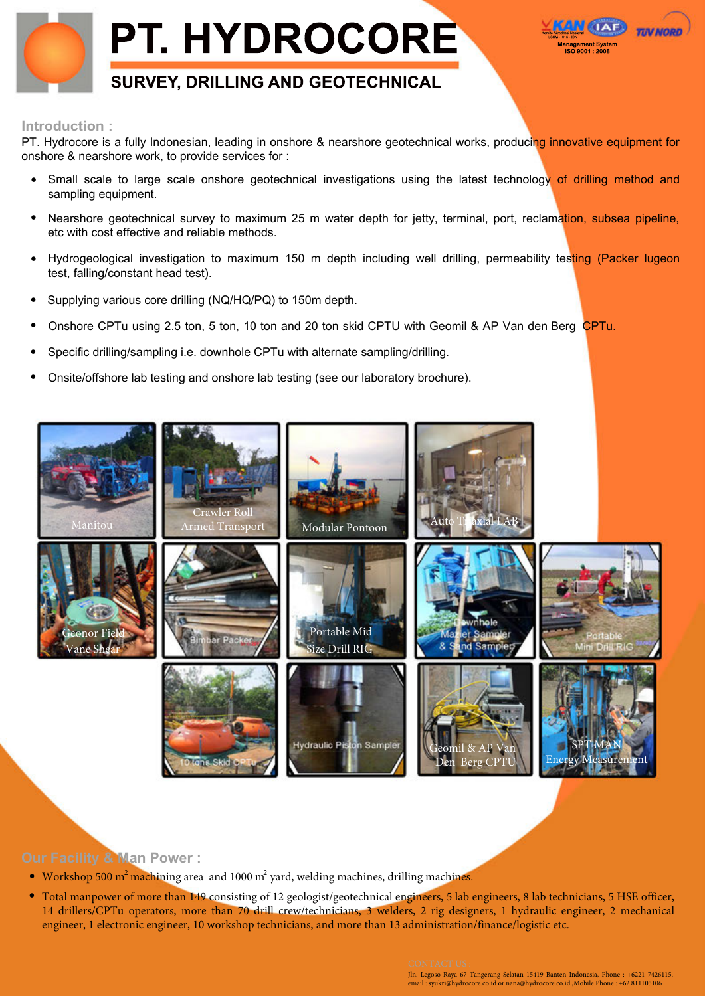



PT. Hydrocore is a fully Indonesian, leading in onshore & nearshore geotechnical works, producing innovative equipment for onshore & nearshore work, to provide services for :

- Small scale to large scale onshore geotechnical investigations using the latest technology of drilling method and sampling equipment. •
- Nearshore geotechnical survey to maximum 25 m water depth for jetty, terminal, port, reclamation, subsea pipeline, etc with cost effective and reliable methods. •
- Hydrogeological investigation to maximum 150 m depth including well drilling, permeability testing (Packer lugeon test, falling/constant head test). •
- Supplying various core drilling (NQ/HQ/PQ) to 150m depth. •
- Onshore CPTu using 2.5 ton, 5 ton, 10 ton and 20 ton skid CPTU with Geomil & AP Van den Berg CPTu. •
- Specific drilling/sampling i.e. downhole CPTu with alternate sampling/drilling. •
- Onsite/offshore lab testing and onshore lab testing (see our laboratory brochure). •



# **Our Facility & Man Power :**

- Workshop 500  $m^2$  machining area and 1000  $m^2$  yard, welding machines, drilling machines.
- Total manpower of more than 149 consisting of 12 geologist/geotechnical engineers, 5 lab engineers, 8 lab technicians, 5 HSE officer, 14 drillers/CPTu operators, more than 70 drill crew/technicians, 3 welders, 2 rig designers, 1 hydraulic engineer, 2 mechanical engineer, 1 electronic engineer, 10 workshop technicians, and more than 13 administration/finance/logistic etc.

Jln. Legoso Raya 67 Tangerang Selatan 15419 Banten Indonesia, Phone : +6221 7426115, email : syukri@hydrocore.co.id or nana@hydrocore.co.id ,Mobile Phone : +62 811105106

Komite Akreditasi Nasional LSSM - 016 - IDN